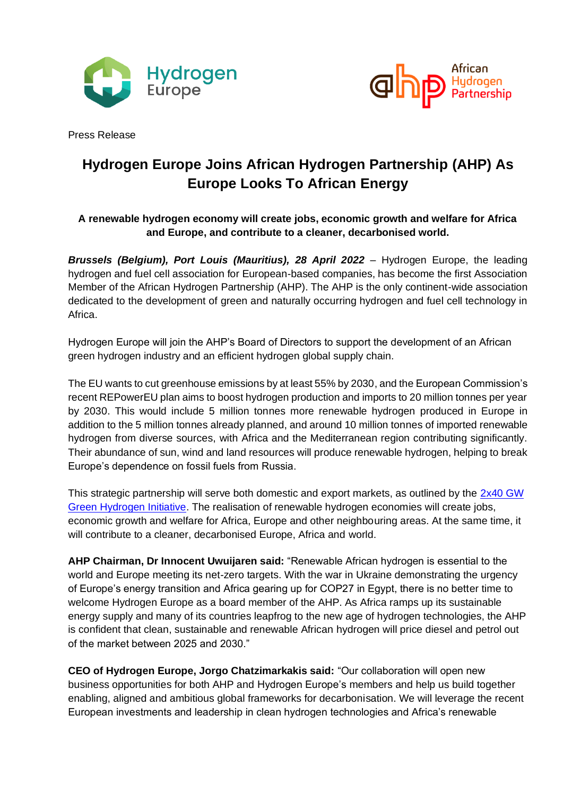



Press Release

# **Hydrogen Europe Joins African Hydrogen Partnership (AHP) As Europe Looks To African Energy**

## **A renewable hydrogen economy will create jobs, economic growth and welfare for Africa and Europe, and contribute to a cleaner, decarbonised world.**

*Brussels (Belgium), Port Louis (Mauritius), 28 April 2022* – Hydrogen Europe, the leading hydrogen and fuel cell association for European-based companies, has become the first Association Member of the African Hydrogen Partnership (AHP). The AHP is the only continent-wide association dedicated to the development of green and naturally occurring hydrogen and fuel cell technology in Africa.

Hydrogen Europe will join the AHP's Board of Directors to support the development of an African green hydrogen industry and an efficient hydrogen global supply chain.

The EU wants to cut greenhouse emissions by at least 55% by 2030, and the European Commission's recent REPowerEU plan aims to boost hydrogen production and imports to 20 million tonnes per year by 2030. This would include 5 million tonnes more renewable hydrogen produced in Europe in addition to the 5 million tonnes already planned, and around 10 million tonnes of imported renewable hydrogen from diverse sources, with Africa and the Mediterranean region contributing significantly. Their abundance of sun, wind and land resources will produce renewable hydrogen, helping to break Europe's dependence on fossil fuels from Russia.

This strategic partnership will serve both domestic and export markets, as outlined by the [2x40 GW](https://www.afr-h2-p.com/_files/ugd/6a6d83_d10f0a8dc7ce4d7795c1982da6b9a84c.pdf)  [Green Hydrogen Initiative.](https://www.afr-h2-p.com/_files/ugd/6a6d83_d10f0a8dc7ce4d7795c1982da6b9a84c.pdf) The realisation of renewable hydrogen economies will create jobs, economic growth and welfare for Africa, Europe and other neighbouring areas. At the same time, it will contribute to a cleaner, decarbonised Europe, Africa and world.

**AHP Chairman, Dr Innocent Uwuijaren said:** "Renewable African hydrogen is essential to the world and Europe meeting its net-zero targets. With the war in Ukraine demonstrating the urgency of Europe's energy transition and Africa gearing up for COP27 in Egypt, there is no better time to welcome Hydrogen Europe as a board member of the AHP. As Africa ramps up its sustainable energy supply and many of its countries leapfrog to the new age of hydrogen technologies, the AHP is confident that clean, sustainable and renewable African hydrogen will price diesel and petrol out of the market between 2025 and 2030."

**CEO of Hydrogen Europe, Jorgo Chatzimarkakis said:** "Our collaboration will open new business opportunities for both AHP and Hydrogen Europe's members and help us build together enabling, aligned and ambitious global frameworks for decarbonisation. We will leverage the recent European investments and leadership in clean hydrogen technologies and Africa's renewable